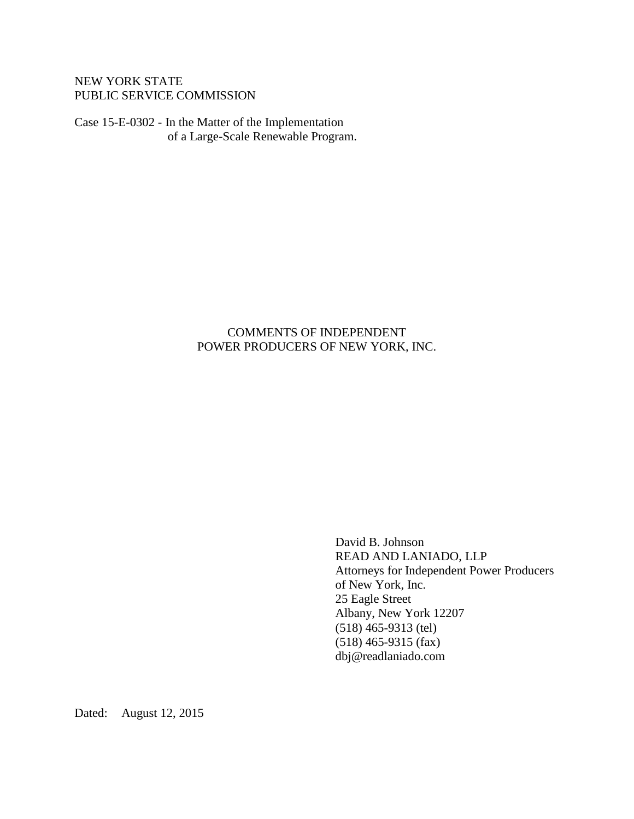# NEW YORK STATE PUBLIC SERVICE COMMISSION

Case 15-E-0302 - In the Matter of the Implementation of a Large-Scale Renewable Program.

# COMMENTS OF INDEPENDENT POWER PRODUCERS OF NEW YORK, INC.

David B. Johnson READ AND LANIADO, LLP Attorneys for Independent Power Producers of New York, Inc. 25 Eagle Street Albany, New York 12207 (518) 465-9313 (tel) (518) 465-9315 (fax) dbj@readlaniado.com

Dated: August 12, 2015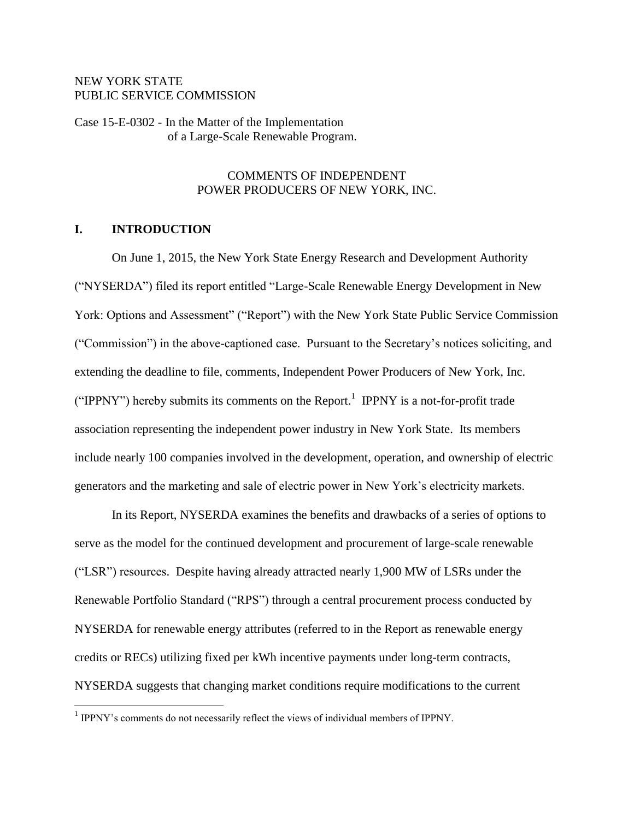### NEW YORK STATE PUBLIC SERVICE COMMISSION

Case 15-E-0302 - In the Matter of the Implementation of a Large-Scale Renewable Program.

### COMMENTS OF INDEPENDENT POWER PRODUCERS OF NEW YORK, INC.

# **I. INTRODUCTION**

 $\overline{a}$ 

On June 1, 2015, the New York State Energy Research and Development Authority ("NYSERDA") filed its report entitled "Large-Scale Renewable Energy Development in New York: Options and Assessment" ("Report") with the New York State Public Service Commission ("Commission") in the above-captioned case. Pursuant to the Secretary's notices soliciting, and extending the deadline to file, comments, Independent Power Producers of New York, Inc. ("IPPNY") hereby submits its comments on the Report.<sup>1</sup> IPPNY is a not-for-profit trade association representing the independent power industry in New York State. Its members include nearly 100 companies involved in the development, operation, and ownership of electric generators and the marketing and sale of electric power in New York's electricity markets.

In its Report, NYSERDA examines the benefits and drawbacks of a series of options to serve as the model for the continued development and procurement of large-scale renewable ("LSR") resources. Despite having already attracted nearly 1,900 MW of LSRs under the Renewable Portfolio Standard ("RPS") through a central procurement process conducted by NYSERDA for renewable energy attributes (referred to in the Report as renewable energy credits or RECs) utilizing fixed per kWh incentive payments under long-term contracts, NYSERDA suggests that changing market conditions require modifications to the current

<sup>&</sup>lt;sup>1</sup> IPPNY's comments do not necessarily reflect the views of individual members of IPPNY.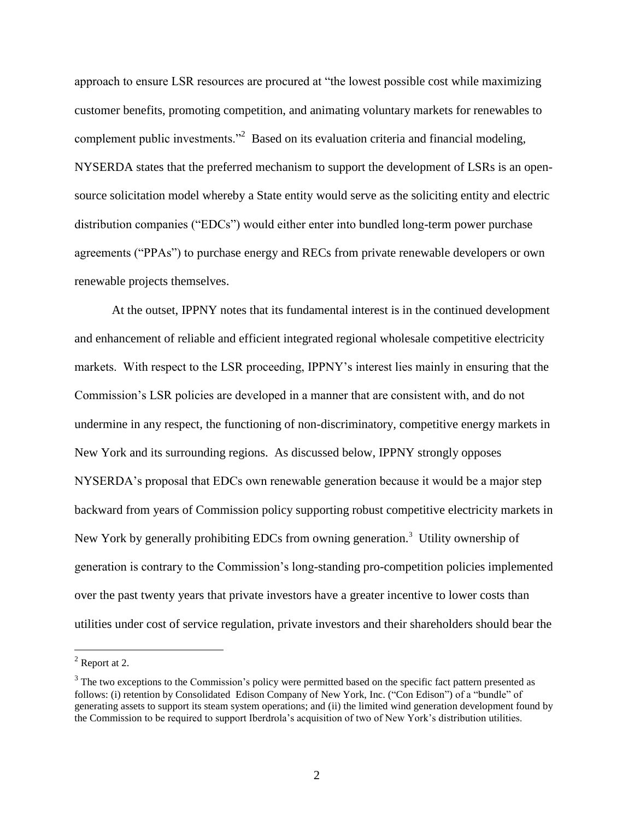approach to ensure LSR resources are procured at "the lowest possible cost while maximizing customer benefits, promoting competition, and animating voluntary markets for renewables to complement public investments."<sup>2</sup> Based on its evaluation criteria and financial modeling, NYSERDA states that the preferred mechanism to support the development of LSRs is an opensource solicitation model whereby a State entity would serve as the soliciting entity and electric distribution companies ("EDCs") would either enter into bundled long-term power purchase agreements ("PPAs") to purchase energy and RECs from private renewable developers or own renewable projects themselves.

At the outset, IPPNY notes that its fundamental interest is in the continued development and enhancement of reliable and efficient integrated regional wholesale competitive electricity markets. With respect to the LSR proceeding, IPPNY's interest lies mainly in ensuring that the Commission's LSR policies are developed in a manner that are consistent with, and do not undermine in any respect, the functioning of non-discriminatory, competitive energy markets in New York and its surrounding regions. As discussed below, IPPNY strongly opposes NYSERDA's proposal that EDCs own renewable generation because it would be a major step backward from years of Commission policy supporting robust competitive electricity markets in New York by generally prohibiting EDCs from owning generation.<sup>3</sup> Utility ownership of generation is contrary to the Commission's long-standing pro-competition policies implemented over the past twenty years that private investors have a greater incentive to lower costs than utilities under cost of service regulation, private investors and their shareholders should bear the

 $<sup>2</sup>$  Report at 2.</sup>

 $3$  The two exceptions to the Commission's policy were permitted based on the specific fact pattern presented as follows: (i) retention by Consolidated Edison Company of New York, Inc. ("Con Edison") of a "bundle" of generating assets to support its steam system operations; and (ii) the limited wind generation development found by the Commission to be required to support Iberdrola's acquisition of two of New York's distribution utilities.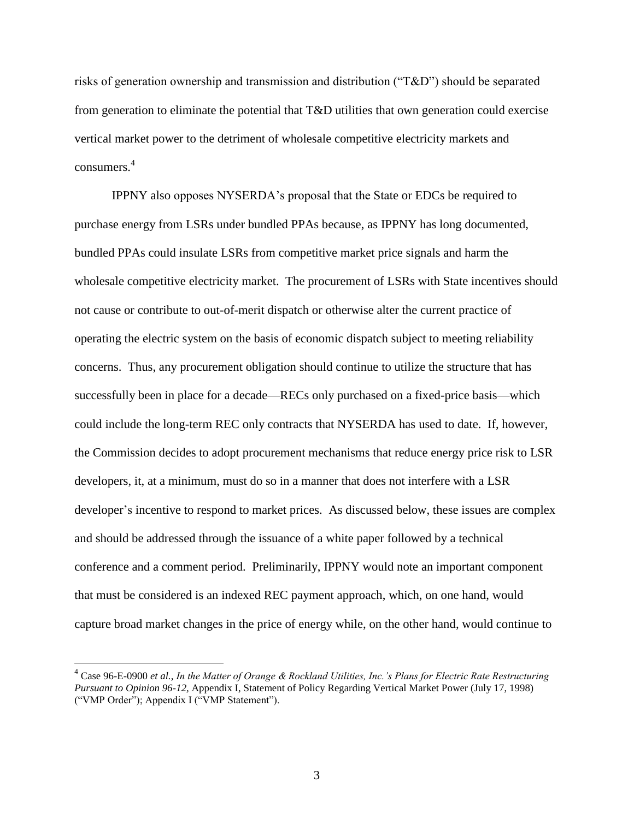risks of generation ownership and transmission and distribution ("T&D") should be separated from generation to eliminate the potential that T&D utilities that own generation could exercise vertical market power to the detriment of wholesale competitive electricity markets and consumers. 4

IPPNY also opposes NYSERDA's proposal that the State or EDCs be required to purchase energy from LSRs under bundled PPAs because, as IPPNY has long documented, bundled PPAs could insulate LSRs from competitive market price signals and harm the wholesale competitive electricity market. The procurement of LSRs with State incentives should not cause or contribute to out-of-merit dispatch or otherwise alter the current practice of operating the electric system on the basis of economic dispatch subject to meeting reliability concerns. Thus, any procurement obligation should continue to utilize the structure that has successfully been in place for a decade—RECs only purchased on a fixed-price basis—which could include the long-term REC only contracts that NYSERDA has used to date. If, however, the Commission decides to adopt procurement mechanisms that reduce energy price risk to LSR developers, it, at a minimum, must do so in a manner that does not interfere with a LSR developer's incentive to respond to market prices. As discussed below, these issues are complex and should be addressed through the issuance of a white paper followed by a technical conference and a comment period. Preliminarily, IPPNY would note an important component that must be considered is an indexed REC payment approach, which, on one hand, would capture broad market changes in the price of energy while, on the other hand, would continue to

<sup>4</sup> Case 96-E-0900 *et al.*, *In the Matter of Orange & Rockland Utilities, Inc.'s Plans for Electric Rate Restructuring Pursuant to Opinion 96-12,* Appendix I, Statement of Policy Regarding Vertical Market Power (July 17, 1998) ("VMP Order"); Appendix I ("VMP Statement").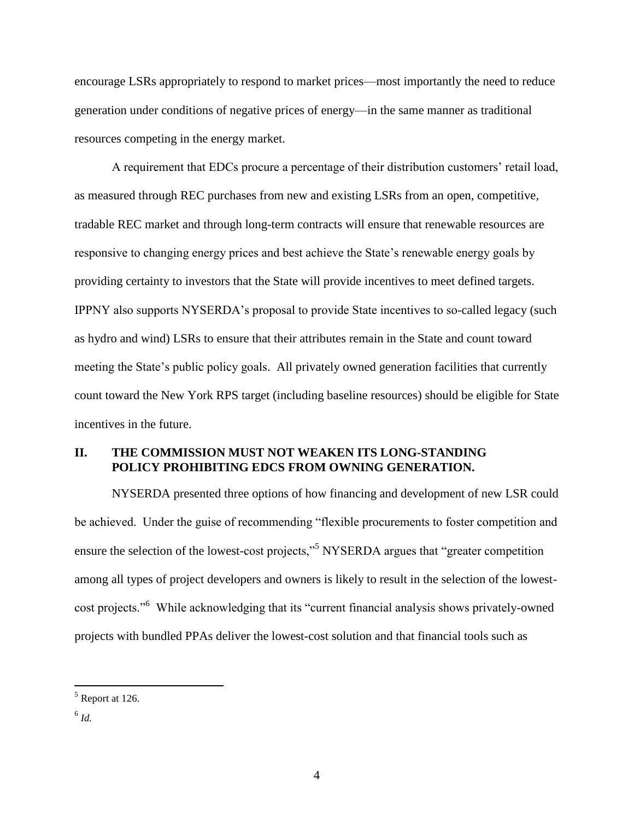encourage LSRs appropriately to respond to market prices—most importantly the need to reduce generation under conditions of negative prices of energy—in the same manner as traditional resources competing in the energy market.

A requirement that EDCs procure a percentage of their distribution customers' retail load, as measured through REC purchases from new and existing LSRs from an open, competitive, tradable REC market and through long-term contracts will ensure that renewable resources are responsive to changing energy prices and best achieve the State's renewable energy goals by providing certainty to investors that the State will provide incentives to meet defined targets. IPPNY also supports NYSERDA's proposal to provide State incentives to so-called legacy (such as hydro and wind) LSRs to ensure that their attributes remain in the State and count toward meeting the State's public policy goals. All privately owned generation facilities that currently count toward the New York RPS target (including baseline resources) should be eligible for State incentives in the future.

## **II. THE COMMISSION MUST NOT WEAKEN ITS LONG-STANDING POLICY PROHIBITING EDCS FROM OWNING GENERATION.**

NYSERDA presented three options of how financing and development of new LSR could be achieved. Under the guise of recommending "flexible procurements to foster competition and ensure the selection of the lowest-cost projects,"<sup>5</sup> NYSERDA argues that "greater competition" among all types of project developers and owners is likely to result in the selection of the lowestcost projects."<sup>6</sup> While acknowledging that its "current financial analysis shows privately-owned projects with bundled PPAs deliver the lowest-cost solution and that financial tools such as

 $<sup>5</sup>$  Report at 126.</sup>

<sup>6</sup> *Id.*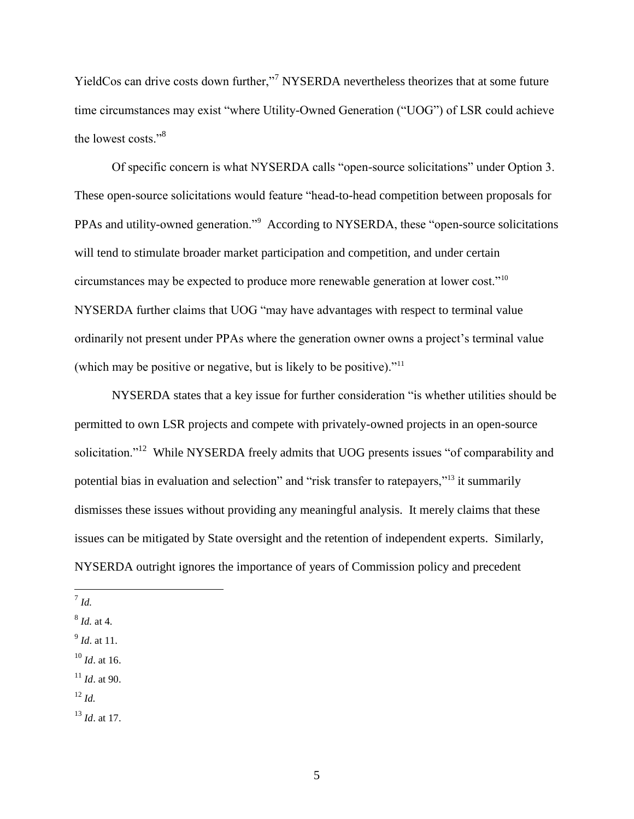YieldCos can drive costs down further,"<sup>7</sup> NYSERDA nevertheless theorizes that at some future time circumstances may exist "where Utility-Owned Generation ("UOG") of LSR could achieve the lowest costs."<sup>8</sup>

Of specific concern is what NYSERDA calls "open-source solicitations" under Option 3. These open-source solicitations would feature "head-to-head competition between proposals for PPAs and utility-owned generation."<sup>9</sup> According to NYSERDA, these "open-source solicitations will tend to stimulate broader market participation and competition, and under certain circumstances may be expected to produce more renewable generation at lower cost."<sup>10</sup> NYSERDA further claims that UOG "may have advantages with respect to terminal value ordinarily not present under PPAs where the generation owner owns a project's terminal value (which may be positive or negative, but is likely to be positive)."<sup>11</sup>

NYSERDA states that a key issue for further consideration "is whether utilities should be permitted to own LSR projects and compete with privately-owned projects in an open-source solicitation."<sup>12</sup> While NYSERDA freely admits that UOG presents issues "of comparability and potential bias in evaluation and selection" and "risk transfer to ratepayers,"<sup>13</sup> it summarily dismisses these issues without providing any meaningful analysis. It merely claims that these issues can be mitigated by State oversight and the retention of independent experts. Similarly, NYSERDA outright ignores the importance of years of Commission policy and precedent

- <sup>10</sup> *Id*. at 16.
- $11$  *Id.* at 90.

 7 *Id.*

<sup>8</sup> *Id.* at 4.

<sup>9</sup> *Id*. at 11.

 $12 \, H$ 

<sup>13</sup> *Id*. at 17.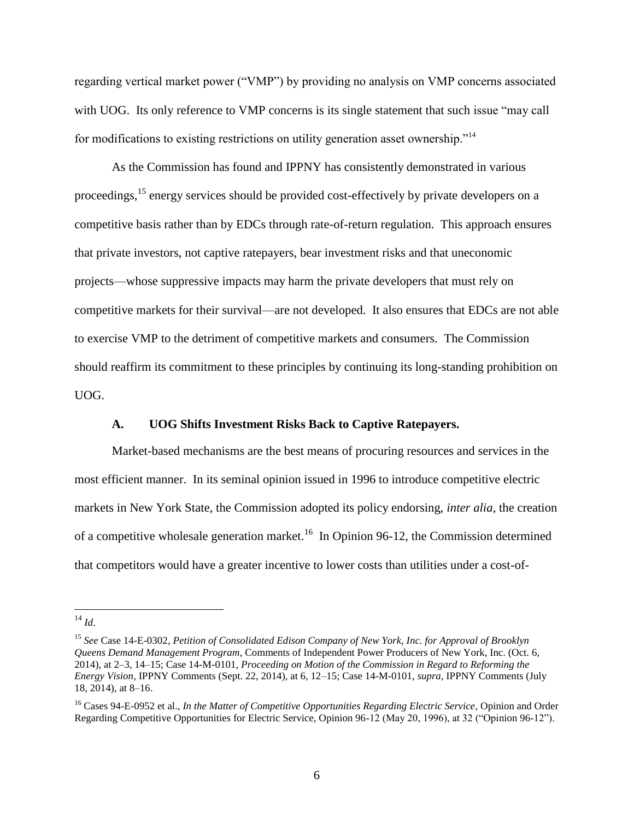regarding vertical market power ("VMP") by providing no analysis on VMP concerns associated with UOG. Its only reference to VMP concerns is its single statement that such issue "may call for modifications to existing restrictions on utility generation asset ownership."<sup>14</sup>

As the Commission has found and IPPNY has consistently demonstrated in various proceedings,<sup>15</sup> energy services should be provided cost-effectively by private developers on a competitive basis rather than by EDCs through rate-of-return regulation. This approach ensures that private investors, not captive ratepayers, bear investment risks and that uneconomic projects—whose suppressive impacts may harm the private developers that must rely on competitive markets for their survival—are not developed. It also ensures that EDCs are not able to exercise VMP to the detriment of competitive markets and consumers. The Commission should reaffirm its commitment to these principles by continuing its long-standing prohibition on UOG.

#### **A. UOG Shifts Investment Risks Back to Captive Ratepayers.**

Market-based mechanisms are the best means of procuring resources and services in the most efficient manner. In its seminal opinion issued in 1996 to introduce competitive electric markets in New York State, the Commission adopted its policy endorsing, *inter alia*, the creation of a competitive wholesale generation market.<sup>16</sup> In Opinion 96-12, the Commission determined that competitors would have a greater incentive to lower costs than utilities under a cost-of-

<sup>14</sup> *Id*.

<sup>15</sup> *See* Case 14-E-0302, *Petition of Consolidated Edison Company of New York, Inc. for Approval of Brooklyn Queens Demand Management Program*, Comments of Independent Power Producers of New York, Inc. (Oct. 6, 2014), at 2–3, 14–15; Case 14-M-0101, *Proceeding on Motion of the Commission in Regard to Reforming the Energy Vision*, IPPNY Comments (Sept. 22, 2014), at 6, 12–15; Case 14-M-0101, *supra*, IPPNY Comments (July 18, 2014), at 8–16.

<sup>16</sup> Cases 94-E-0952 et al., *In the Matter of Competitive Opportunities Regarding Electric Service*, Opinion and Order Regarding Competitive Opportunities for Electric Service, Opinion 96-12 (May 20, 1996), at 32 ("Opinion 96-12").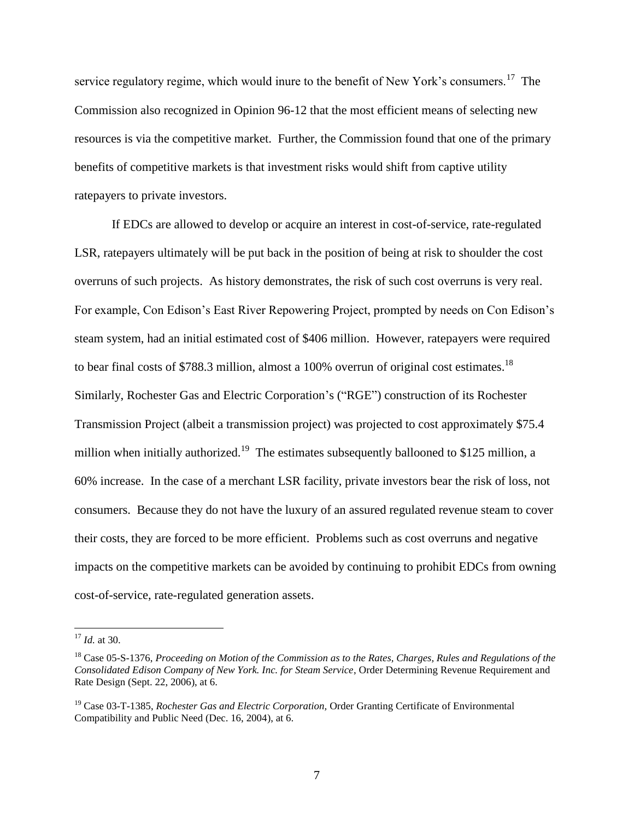service regulatory regime, which would inure to the benefit of New York's consumers.<sup>17</sup> The Commission also recognized in Opinion 96-12 that the most efficient means of selecting new resources is via the competitive market. Further, the Commission found that one of the primary benefits of competitive markets is that investment risks would shift from captive utility ratepayers to private investors.

If EDCs are allowed to develop or acquire an interest in cost-of-service, rate-regulated LSR, ratepayers ultimately will be put back in the position of being at risk to shoulder the cost overruns of such projects. As history demonstrates, the risk of such cost overruns is very real. For example, Con Edison's East River Repowering Project, prompted by needs on Con Edison's steam system, had an initial estimated cost of \$406 million. However, ratepayers were required to bear final costs of \$788.3 million, almost a 100% overrun of original cost estimates.<sup>18</sup> Similarly, Rochester Gas and Electric Corporation's ("RGE") construction of its Rochester Transmission Project (albeit a transmission project) was projected to cost approximately \$75.4 million when initially authorized.<sup>19</sup> The estimates subsequently ballooned to \$125 million, a 60% increase. In the case of a merchant LSR facility, private investors bear the risk of loss, not consumers. Because they do not have the luxury of an assured regulated revenue steam to cover their costs, they are forced to be more efficient. Problems such as cost overruns and negative impacts on the competitive markets can be avoided by continuing to prohibit EDCs from owning cost-of-service, rate-regulated generation assets.

<sup>17</sup> *Id.* at 30.

<sup>18</sup> Case 05-S-1376, *Proceeding on Motion of the Commission as to the Rates, Charges, Rules and Regulations of the Consolidated Edison Company of New York. Inc. for Steam Service*, Order Determining Revenue Requirement and Rate Design (Sept. 22, 2006), at 6.

<sup>19</sup> Case 03-T-1385, *Rochester Gas and Electric Corporation,* Order Granting Certificate of Environmental Compatibility and Public Need (Dec. 16, 2004), at 6.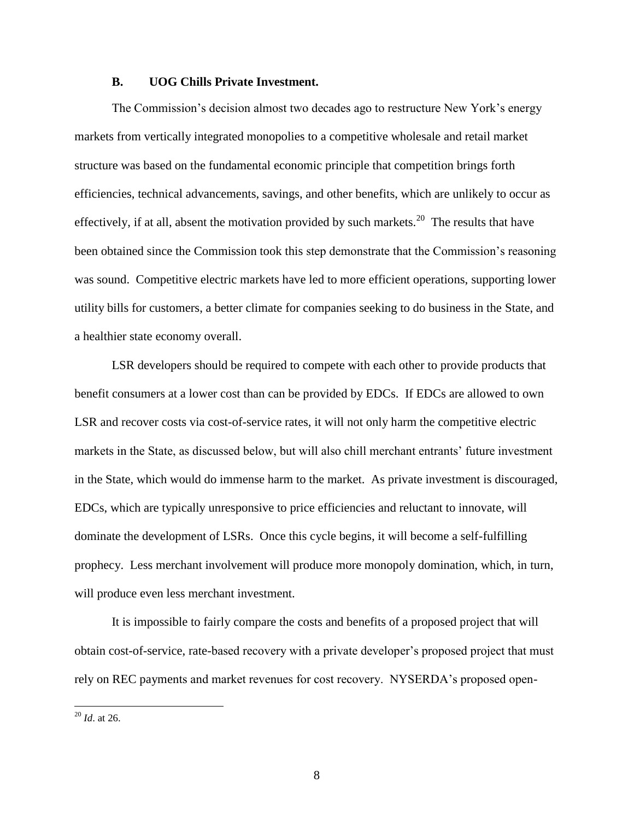#### **B. UOG Chills Private Investment.**

The Commission's decision almost two decades ago to restructure New York's energy markets from vertically integrated monopolies to a competitive wholesale and retail market structure was based on the fundamental economic principle that competition brings forth efficiencies, technical advancements, savings, and other benefits, which are unlikely to occur as effectively, if at all, absent the motivation provided by such markets.<sup>20</sup> The results that have been obtained since the Commission took this step demonstrate that the Commission's reasoning was sound. Competitive electric markets have led to more efficient operations, supporting lower utility bills for customers, a better climate for companies seeking to do business in the State, and a healthier state economy overall.

LSR developers should be required to compete with each other to provide products that benefit consumers at a lower cost than can be provided by EDCs. If EDCs are allowed to own LSR and recover costs via cost-of-service rates, it will not only harm the competitive electric markets in the State, as discussed below, but will also chill merchant entrants' future investment in the State, which would do immense harm to the market. As private investment is discouraged, EDCs, which are typically unresponsive to price efficiencies and reluctant to innovate, will dominate the development of LSRs. Once this cycle begins, it will become a self-fulfilling prophecy. Less merchant involvement will produce more monopoly domination, which, in turn, will produce even less merchant investment.

It is impossible to fairly compare the costs and benefits of a proposed project that will obtain cost-of-service, rate-based recovery with a private developer's proposed project that must rely on REC payments and market revenues for cost recovery. NYSERDA's proposed open-

<sup>20</sup> *Id*. at 26.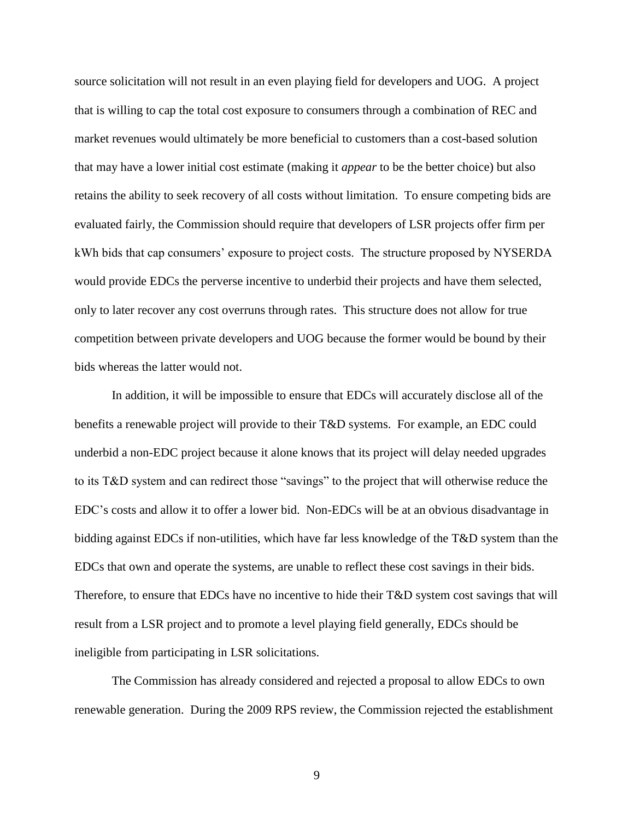source solicitation will not result in an even playing field for developers and UOG. A project that is willing to cap the total cost exposure to consumers through a combination of REC and market revenues would ultimately be more beneficial to customers than a cost-based solution that may have a lower initial cost estimate (making it *appear* to be the better choice) but also retains the ability to seek recovery of all costs without limitation. To ensure competing bids are evaluated fairly, the Commission should require that developers of LSR projects offer firm per kWh bids that cap consumers' exposure to project costs. The structure proposed by NYSERDA would provide EDCs the perverse incentive to underbid their projects and have them selected, only to later recover any cost overruns through rates. This structure does not allow for true competition between private developers and UOG because the former would be bound by their bids whereas the latter would not.

In addition, it will be impossible to ensure that EDCs will accurately disclose all of the benefits a renewable project will provide to their T&D systems. For example, an EDC could underbid a non-EDC project because it alone knows that its project will delay needed upgrades to its T&D system and can redirect those "savings" to the project that will otherwise reduce the EDC's costs and allow it to offer a lower bid. Non-EDCs will be at an obvious disadvantage in bidding against EDCs if non-utilities, which have far less knowledge of the T&D system than the EDCs that own and operate the systems, are unable to reflect these cost savings in their bids. Therefore, to ensure that EDCs have no incentive to hide their T&D system cost savings that will result from a LSR project and to promote a level playing field generally, EDCs should be ineligible from participating in LSR solicitations.

The Commission has already considered and rejected a proposal to allow EDCs to own renewable generation. During the 2009 RPS review, the Commission rejected the establishment

9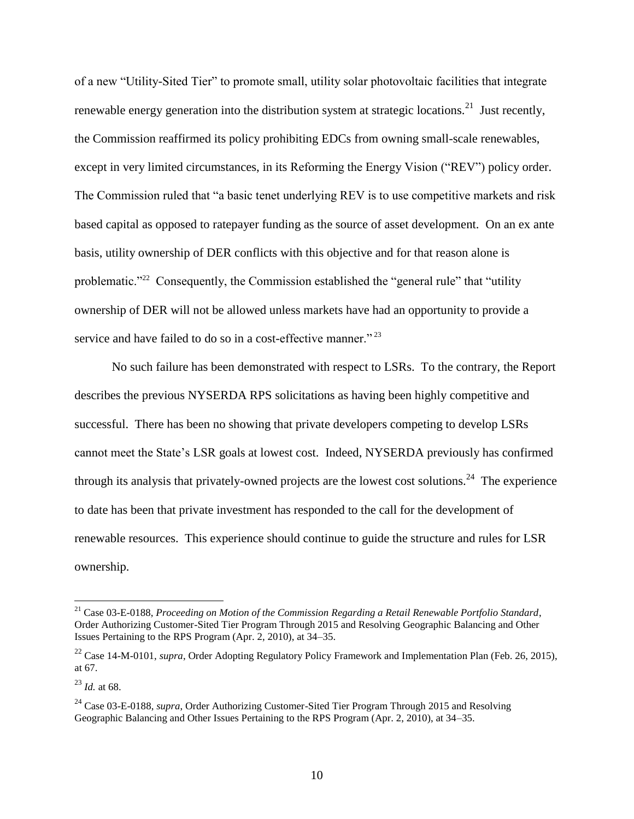of a new "Utility-Sited Tier" to promote small, utility solar photovoltaic facilities that integrate renewable energy generation into the distribution system at strategic locations.<sup>21</sup> Just recently, the Commission reaffirmed its policy prohibiting EDCs from owning small-scale renewables, except in very limited circumstances, in its Reforming the Energy Vision ("REV") policy order. The Commission ruled that "a basic tenet underlying REV is to use competitive markets and risk based capital as opposed to ratepayer funding as the source of asset development. On an ex ante basis, utility ownership of DER conflicts with this objective and for that reason alone is problematic."<sup>22</sup> Consequently, the Commission established the "general rule" that "utility ownership of DER will not be allowed unless markets have had an opportunity to provide a service and have failed to do so in a cost-effective manner."<sup>23</sup>

No such failure has been demonstrated with respect to LSRs. To the contrary, the Report describes the previous NYSERDA RPS solicitations as having been highly competitive and successful. There has been no showing that private developers competing to develop LSRs cannot meet the State's LSR goals at lowest cost. Indeed, NYSERDA previously has confirmed through its analysis that privately-owned projects are the lowest cost solutions.<sup>24</sup> The experience to date has been that private investment has responded to the call for the development of renewable resources. This experience should continue to guide the structure and rules for LSR ownership.

<sup>21</sup> Case 03-E-0188, *Proceeding on Motion of the Commission Regarding a Retail Renewable Portfolio Standard*, Order Authorizing Customer-Sited Tier Program Through 2015 and Resolving Geographic Balancing and Other Issues Pertaining to the RPS Program (Apr. 2, 2010), at 34–35.

<sup>&</sup>lt;sup>22</sup> Case 14-M-0101, *supra*, Order Adopting Regulatory Policy Framework and Implementation Plan (Feb. 26, 2015), at 67.

<sup>23</sup> *Id.* at 68.

<sup>&</sup>lt;sup>24</sup> Case 03-E-0188, *supra*, Order Authorizing Customer-Sited Tier Program Through 2015 and Resolving Geographic Balancing and Other Issues Pertaining to the RPS Program (Apr. 2, 2010), at 34–35.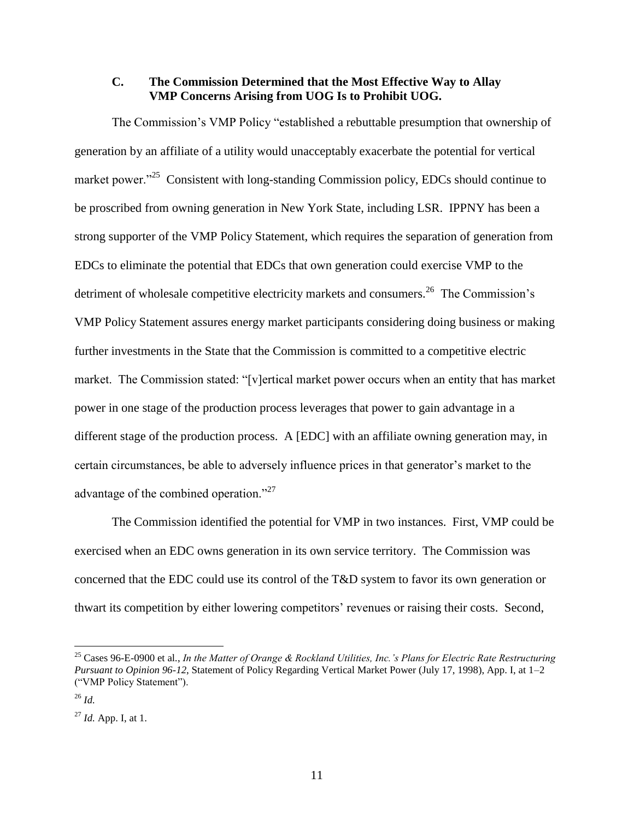### **C. The Commission Determined that the Most Effective Way to Allay VMP Concerns Arising from UOG Is to Prohibit UOG.**

The Commission's VMP Policy "established a rebuttable presumption that ownership of generation by an affiliate of a utility would unacceptably exacerbate the potential for vertical market power."<sup>25</sup> Consistent with long-standing Commission policy, EDCs should continue to be proscribed from owning generation in New York State, including LSR. IPPNY has been a strong supporter of the VMP Policy Statement, which requires the separation of generation from EDCs to eliminate the potential that EDCs that own generation could exercise VMP to the detriment of wholesale competitive electricity markets and consumers.<sup>26</sup> The Commission's VMP Policy Statement assures energy market participants considering doing business or making further investments in the State that the Commission is committed to a competitive electric market. The Commission stated: "[v]ertical market power occurs when an entity that has market power in one stage of the production process leverages that power to gain advantage in a different stage of the production process. A [EDC] with an affiliate owning generation may, in certain circumstances, be able to adversely influence prices in that generator's market to the advantage of the combined operation."<sup>27</sup>

The Commission identified the potential for VMP in two instances. First, VMP could be exercised when an EDC owns generation in its own service territory. The Commission was concerned that the EDC could use its control of the T&D system to favor its own generation or thwart its competition by either lowering competitors' revenues or raising their costs. Second,

<sup>25</sup> Cases 96-E-0900 et al*.*, *In the Matter of Orange & Rockland Utilities, Inc.'s Plans for Electric Rate Restructuring Pursuant to Opinion 96-12*, Statement of Policy Regarding Vertical Market Power (July 17, 1998), App. I, at 1–2 ("VMP Policy Statement").

<sup>26</sup> *Id.*

<sup>27</sup> *Id.* App. I, at 1.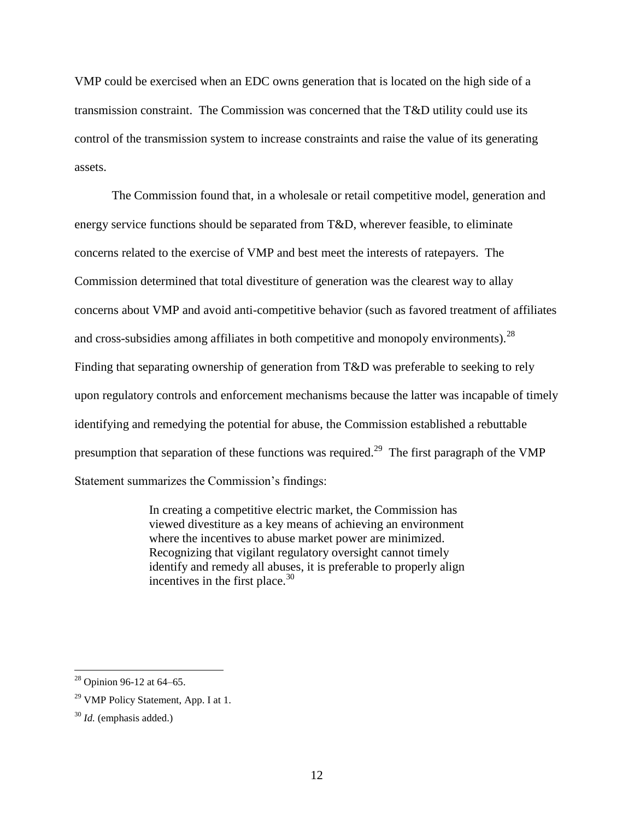VMP could be exercised when an EDC owns generation that is located on the high side of a transmission constraint. The Commission was concerned that the T&D utility could use its control of the transmission system to increase constraints and raise the value of its generating assets.

The Commission found that, in a wholesale or retail competitive model, generation and energy service functions should be separated from T&D, wherever feasible, to eliminate concerns related to the exercise of VMP and best meet the interests of ratepayers. The Commission determined that total divestiture of generation was the clearest way to allay concerns about VMP and avoid anti-competitive behavior (such as favored treatment of affiliates and cross-subsidies among affiliates in both competitive and monopoly environments).  $^{28}$ Finding that separating ownership of generation from T&D was preferable to seeking to rely upon regulatory controls and enforcement mechanisms because the latter was incapable of timely identifying and remedying the potential for abuse, the Commission established a rebuttable presumption that separation of these functions was required.<sup>29</sup> The first paragraph of the VMP Statement summarizes the Commission's findings:

> In creating a competitive electric market, the Commission has viewed divestiture as a key means of achieving an environment where the incentives to abuse market power are minimized. Recognizing that vigilant regulatory oversight cannot timely identify and remedy all abuses, it is preferable to properly align incentives in the first place. $30$

 $28$  Opinion 96-12 at 64-65.

<sup>&</sup>lt;sup>29</sup> VMP Policy Statement, App. I at 1.

<sup>30</sup> *Id.* (emphasis added.)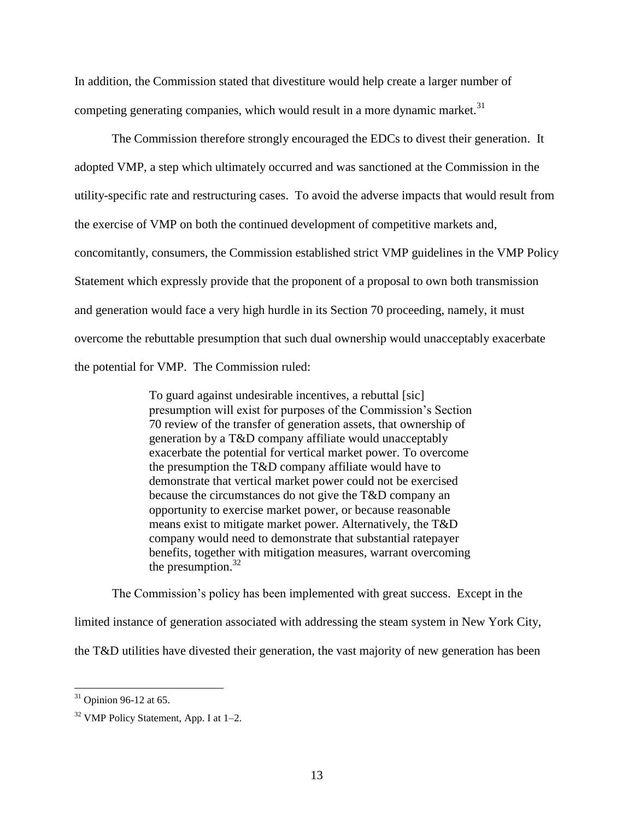In addition, the Commission stated that divestiture would help create a larger number of competing generating companies, which would result in a more dynamic market. $31$ 

The Commission therefore strongly encouraged the EDCs to divest their generation. It adopted VMP, a step which ultimately occurred and was sanctioned at the Commission in the utility-specific rate and restructuring cases. To avoid the adverse impacts that would result from the exercise of VMP on both the continued development of competitive markets and, concomitantly, consumers, the Commission established strict VMP guidelines in the VMP Policy Statement which expressly provide that the proponent of a proposal to own both transmission and generation would face a very high hurdle in its Section 70 proceeding, namely, it must overcome the rebuttable presumption that such dual ownership would unacceptably exacerbate the potential for VMP. The Commission ruled:

> To guard against undesirable incentives, a rebuttal [sic] presumption will exist for purposes of the Commission's Section 70 review of the transfer of generation assets, that ownership of generation by a T&D company affiliate would unacceptably exacerbate the potential for vertical market power. To overcome the presumption the T&D company affiliate would have to demonstrate that vertical market power could not be exercised because the circumstances do not give the T&D company an opportunity to exercise market power, or because reasonable means exist to mitigate market power. Alternatively, the T&D company would need to demonstrate that substantial ratepayer benefits, together with mitigation measures, warrant overcoming the presumption. $32$

The Commission's policy has been implemented with great success. Except in the limited instance of generation associated with addressing the steam system in New York City, the T&D utilities have divested their generation, the vast majority of new generation has been

 $31$  Opinion 96-12 at 65.

 $32$  VMP Policy Statement, App. I at 1–2.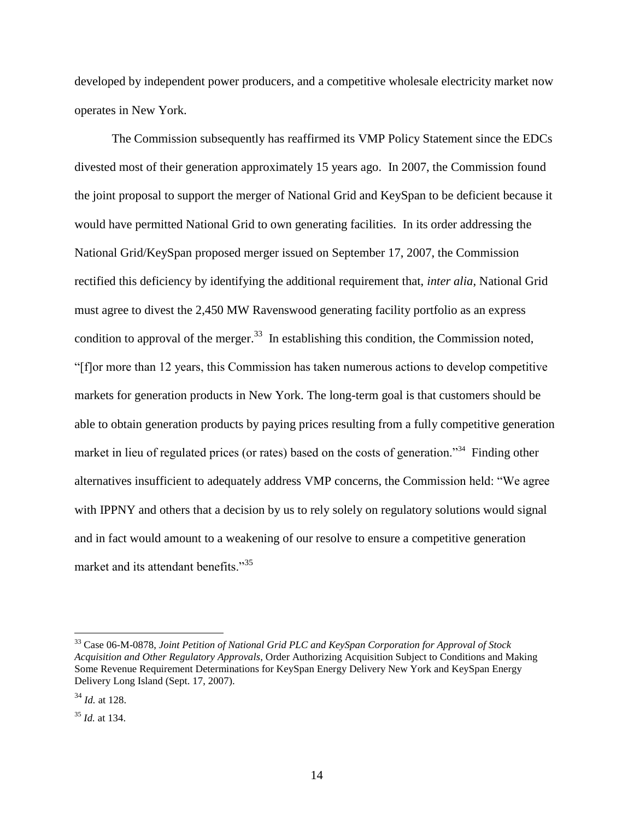developed by independent power producers, and a competitive wholesale electricity market now operates in New York.

The Commission subsequently has reaffirmed its VMP Policy Statement since the EDCs divested most of their generation approximately 15 years ago. In 2007, the Commission found the joint proposal to support the merger of National Grid and KeySpan to be deficient because it would have permitted National Grid to own generating facilities. In its order addressing the National Grid/KeySpan proposed merger issued on September 17, 2007, the Commission rectified this deficiency by identifying the additional requirement that, *inter alia*, National Grid must agree to divest the 2,450 MW Ravenswood generating facility portfolio as an express condition to approval of the merger.<sup>33</sup> In establishing this condition, the Commission noted, "[f]or more than 12 years, this Commission has taken numerous actions to develop competitive markets for generation products in New York. The long-term goal is that customers should be able to obtain generation products by paying prices resulting from a fully competitive generation market in lieu of regulated prices (or rates) based on the costs of generation."<sup>34</sup> Finding other alternatives insufficient to adequately address VMP concerns, the Commission held: "We agree with IPPNY and others that a decision by us to rely solely on regulatory solutions would signal and in fact would amount to a weakening of our resolve to ensure a competitive generation market and its attendant benefits."<sup>35</sup>

<sup>33</sup> Case 06-M-0878, *Joint Petition of National Grid PLC and KeySpan Corporation for Approval of Stock Acquisition and Other Regulatory Approvals*, Order Authorizing Acquisition Subject to Conditions and Making Some Revenue Requirement Determinations for KeySpan Energy Delivery New York and KeySpan Energy Delivery Long Island (Sept. 17, 2007).

<sup>34</sup> *Id.* at 128.

<sup>35</sup> *Id.* at 134.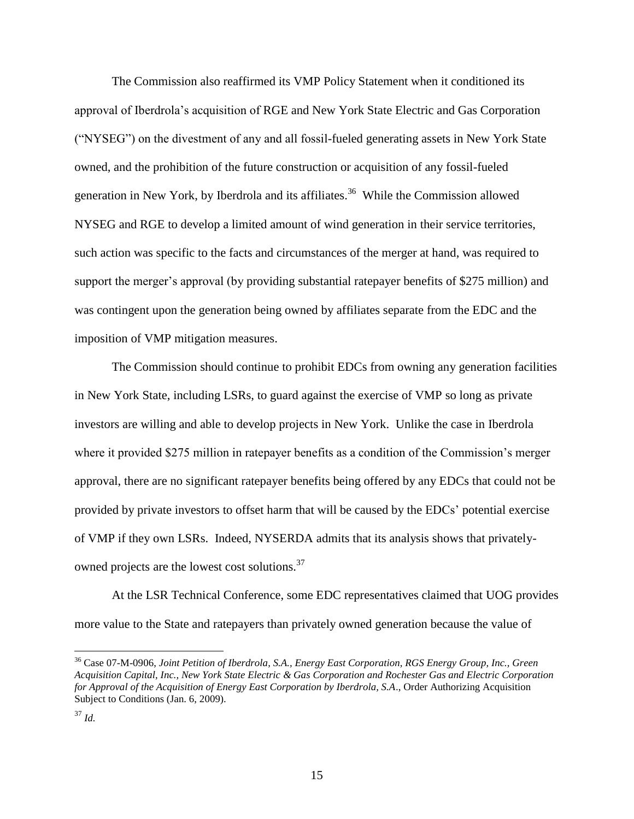The Commission also reaffirmed its VMP Policy Statement when it conditioned its approval of Iberdrola's acquisition of RGE and New York State Electric and Gas Corporation ("NYSEG") on the divestment of any and all fossil-fueled generating assets in New York State owned, and the prohibition of the future construction or acquisition of any fossil-fueled generation in New York, by Iberdrola and its affiliates.<sup>36</sup> While the Commission allowed NYSEG and RGE to develop a limited amount of wind generation in their service territories, such action was specific to the facts and circumstances of the merger at hand, was required to support the merger's approval (by providing substantial ratepayer benefits of \$275 million) and was contingent upon the generation being owned by affiliates separate from the EDC and the imposition of VMP mitigation measures.

The Commission should continue to prohibit EDCs from owning any generation facilities in New York State, including LSRs, to guard against the exercise of VMP so long as private investors are willing and able to develop projects in New York. Unlike the case in Iberdrola where it provided \$275 million in ratepayer benefits as a condition of the Commission's merger approval, there are no significant ratepayer benefits being offered by any EDCs that could not be provided by private investors to offset harm that will be caused by the EDCs' potential exercise of VMP if they own LSRs. Indeed, NYSERDA admits that its analysis shows that privatelyowned projects are the lowest cost solutions.<sup>37</sup>

At the LSR Technical Conference, some EDC representatives claimed that UOG provides more value to the State and ratepayers than privately owned generation because the value of

<sup>36</sup> Case 07-M-0906, *Joint Petition of Iberdrola, S.A., Energy East Corporation, RGS Energy Group, Inc., Green Acquisition Capital, Inc., New York State Electric & Gas Corporation and Rochester Gas and Electric Corporation for Approval of the Acquisition of Energy East Corporation by Iberdrola, S.A*., Order Authorizing Acquisition Subject to Conditions (Jan. 6, 2009).

<sup>37</sup> *Id.*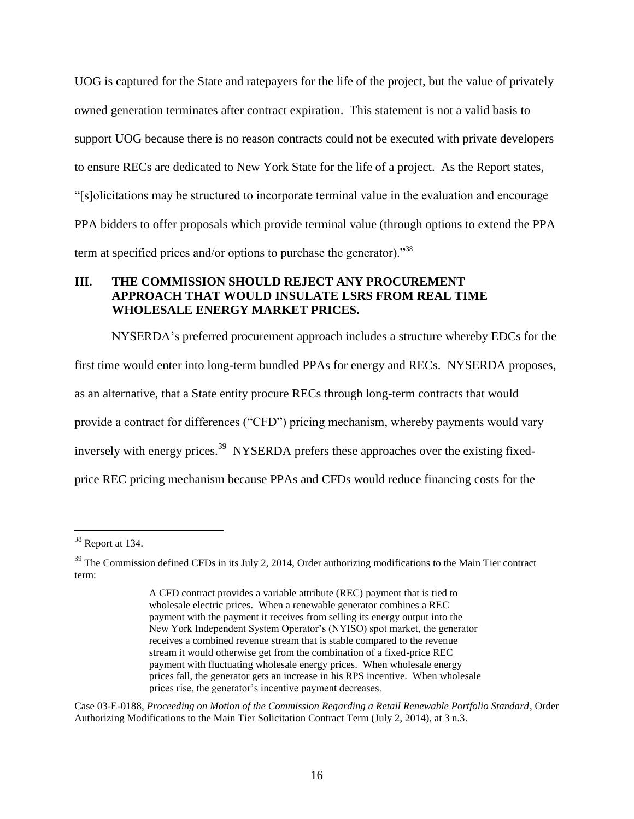UOG is captured for the State and ratepayers for the life of the project, but the value of privately owned generation terminates after contract expiration. This statement is not a valid basis to support UOG because there is no reason contracts could not be executed with private developers to ensure RECs are dedicated to New York State for the life of a project. As the Report states, "[s]olicitations may be structured to incorporate terminal value in the evaluation and encourage PPA bidders to offer proposals which provide terminal value (through options to extend the PPA term at specified prices and/or options to purchase the generator)."<sup>38</sup>

# **III. THE COMMISSION SHOULD REJECT ANY PROCUREMENT APPROACH THAT WOULD INSULATE LSRS FROM REAL TIME WHOLESALE ENERGY MARKET PRICES.**

NYSERDA's preferred procurement approach includes a structure whereby EDCs for the first time would enter into long-term bundled PPAs for energy and RECs. NYSERDA proposes, as an alternative, that a State entity procure RECs through long-term contracts that would provide a contract for differences ("CFD") pricing mechanism, whereby payments would vary inversely with energy prices.<sup>39</sup> NYSERDA prefers these approaches over the existing fixedprice REC pricing mechanism because PPAs and CFDs would reduce financing costs for the

 $\overline{a}$ 

Case 03-E-0188, *Proceeding on Motion of the Commission Regarding a Retail Renewable Portfolio Standard*, Order Authorizing Modifications to the Main Tier Solicitation Contract Term (July 2, 2014), at 3 n.3.

 $38$  Report at 134.

<sup>&</sup>lt;sup>39</sup> The Commission defined CFDs in its July 2, 2014, Order authorizing modifications to the Main Tier contract term:

A CFD contract provides a variable attribute (REC) payment that is tied to wholesale electric prices. When a renewable generator combines a REC payment with the payment it receives from selling its energy output into the New York Independent System Operator's (NYISO) spot market, the generator receives a combined revenue stream that is stable compared to the revenue stream it would otherwise get from the combination of a fixed-price REC payment with fluctuating wholesale energy prices. When wholesale energy prices fall, the generator gets an increase in his RPS incentive. When wholesale prices rise, the generator's incentive payment decreases.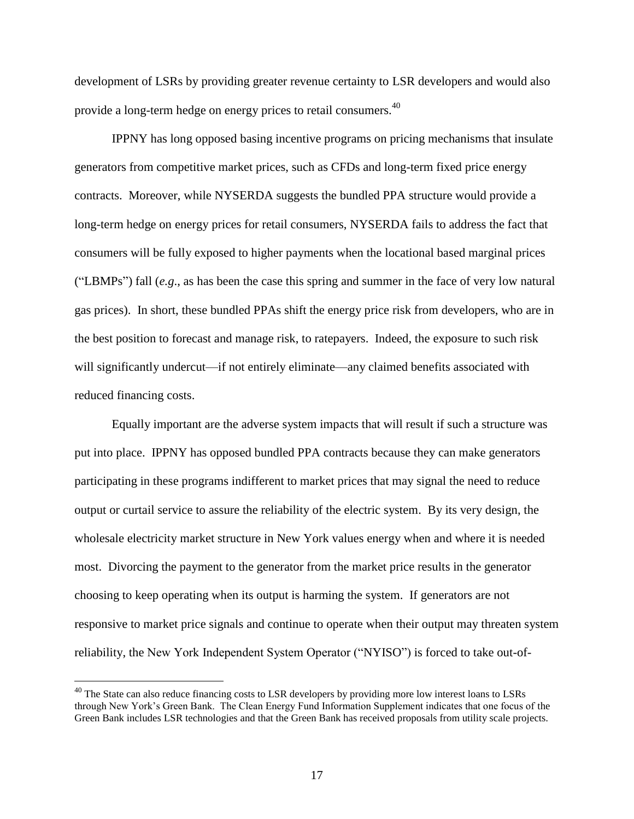development of LSRs by providing greater revenue certainty to LSR developers and would also provide a long-term hedge on energy prices to retail consumers.<sup>40</sup>

IPPNY has long opposed basing incentive programs on pricing mechanisms that insulate generators from competitive market prices, such as CFDs and long-term fixed price energy contracts. Moreover, while NYSERDA suggests the bundled PPA structure would provide a long-term hedge on energy prices for retail consumers, NYSERDA fails to address the fact that consumers will be fully exposed to higher payments when the locational based marginal prices ("LBMPs") fall (*e.g*., as has been the case this spring and summer in the face of very low natural gas prices). In short, these bundled PPAs shift the energy price risk from developers, who are in the best position to forecast and manage risk, to ratepayers. Indeed, the exposure to such risk will significantly undercut—if not entirely eliminate—any claimed benefits associated with reduced financing costs.

Equally important are the adverse system impacts that will result if such a structure was put into place. IPPNY has opposed bundled PPA contracts because they can make generators participating in these programs indifferent to market prices that may signal the need to reduce output or curtail service to assure the reliability of the electric system. By its very design, the wholesale electricity market structure in New York values energy when and where it is needed most. Divorcing the payment to the generator from the market price results in the generator choosing to keep operating when its output is harming the system. If generators are not responsive to market price signals and continue to operate when their output may threaten system reliability, the New York Independent System Operator ("NYISO") is forced to take out-of-

<sup>&</sup>lt;sup>40</sup> The State can also reduce financing costs to LSR developers by providing more low interest loans to LSRs through New York's Green Bank. The Clean Energy Fund Information Supplement indicates that one focus of the Green Bank includes LSR technologies and that the Green Bank has received proposals from utility scale projects.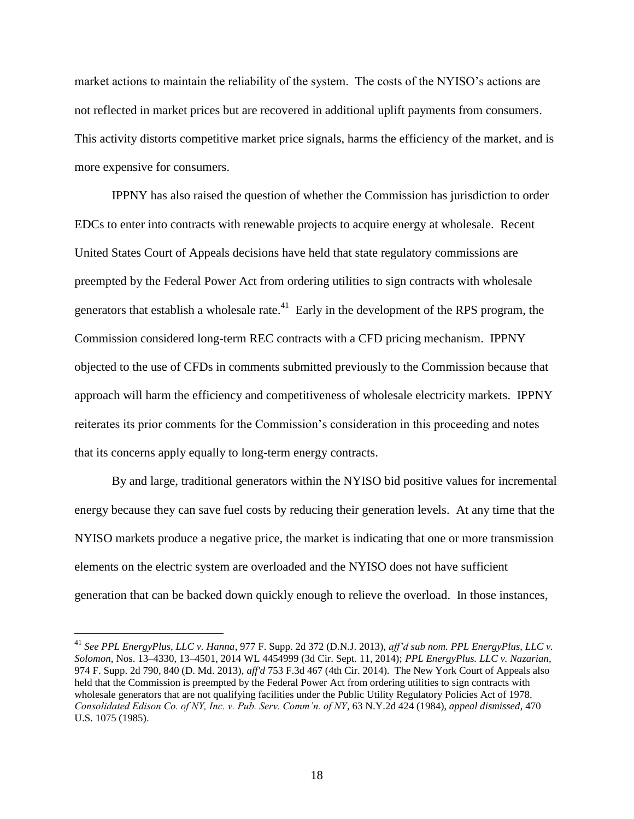market actions to maintain the reliability of the system. The costs of the NYISO's actions are not reflected in market prices but are recovered in additional uplift payments from consumers. This activity distorts competitive market price signals, harms the efficiency of the market, and is more expensive for consumers.

IPPNY has also raised the question of whether the Commission has jurisdiction to order EDCs to enter into contracts with renewable projects to acquire energy at wholesale. Recent United States Court of Appeals decisions have held that state regulatory commissions are preempted by the Federal Power Act from ordering utilities to sign contracts with wholesale generators that establish a wholesale rate.<sup>41</sup> Early in the development of the RPS program, the Commission considered long-term REC contracts with a CFD pricing mechanism. IPPNY objected to the use of CFDs in comments submitted previously to the Commission because that approach will harm the efficiency and competitiveness of wholesale electricity markets. IPPNY reiterates its prior comments for the Commission's consideration in this proceeding and notes that its concerns apply equally to long-term energy contracts.

By and large, traditional generators within the NYISO bid positive values for incremental energy because they can save fuel costs by reducing their generation levels. At any time that the NYISO markets produce a negative price, the market is indicating that one or more transmission elements on the electric system are overloaded and the NYISO does not have sufficient generation that can be backed down quickly enough to relieve the overload. In those instances,

<sup>41</sup> *See PPL EnergyPlus, LLC v. Hanna*, 977 F. Supp. 2d 372 (D.N.J. 2013), *aff'd sub nom. PPL EnergyPlus, LLC v. Solomon*, Nos. 13–4330, 13–4501, 2014 WL 4454999 (3d Cir. Sept. 11, 2014); *PPL EnergyPlus. LLC v. Nazarian,* 974 F. Supp. 2d 790, 840 (D. Md. 2013), *aff'd* 753 F.3d 467 (4th Cir. 2014). The New York Court of Appeals also held that the Commission is preempted by the Federal Power Act from ordering utilities to sign contracts with wholesale generators that are not qualifying facilities under the Public Utility Regulatory Policies Act of 1978. *Consolidated Edison Co. of NY, Inc. v. Pub. Serv. Comm'n. of NY*, 63 N.Y.2d 424 (1984), *appeal dismissed*, 470 U.S. 1075 (1985).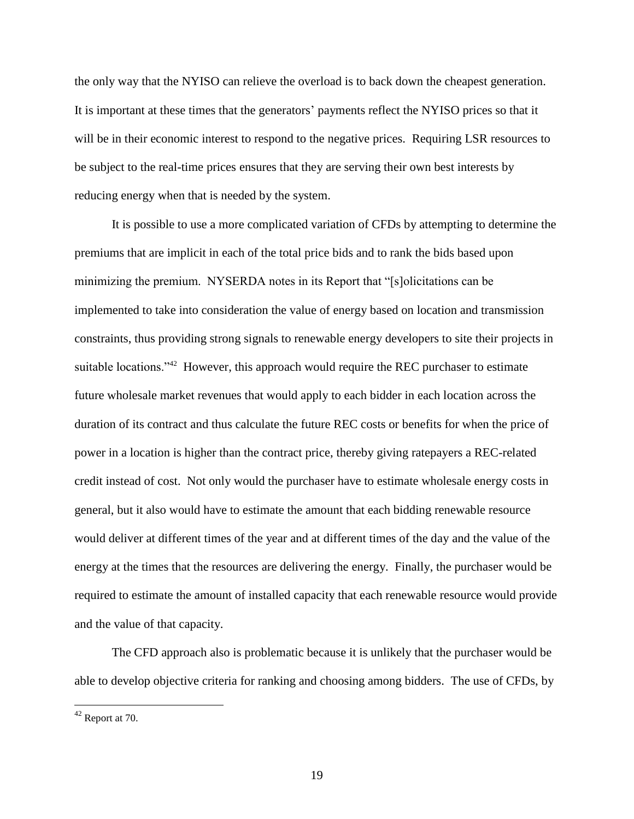the only way that the NYISO can relieve the overload is to back down the cheapest generation. It is important at these times that the generators' payments reflect the NYISO prices so that it will be in their economic interest to respond to the negative prices. Requiring LSR resources to be subject to the real-time prices ensures that they are serving their own best interests by reducing energy when that is needed by the system.

It is possible to use a more complicated variation of CFDs by attempting to determine the premiums that are implicit in each of the total price bids and to rank the bids based upon minimizing the premium. NYSERDA notes in its Report that "[s]olicitations can be implemented to take into consideration the value of energy based on location and transmission constraints, thus providing strong signals to renewable energy developers to site their projects in suitable locations."<sup>42</sup> However, this approach would require the REC purchaser to estimate future wholesale market revenues that would apply to each bidder in each location across the duration of its contract and thus calculate the future REC costs or benefits for when the price of power in a location is higher than the contract price, thereby giving ratepayers a REC-related credit instead of cost. Not only would the purchaser have to estimate wholesale energy costs in general, but it also would have to estimate the amount that each bidding renewable resource would deliver at different times of the year and at different times of the day and the value of the energy at the times that the resources are delivering the energy. Finally, the purchaser would be required to estimate the amount of installed capacity that each renewable resource would provide and the value of that capacity.

The CFD approach also is problematic because it is unlikely that the purchaser would be able to develop objective criteria for ranking and choosing among bidders. The use of CFDs, by

 $42$  Report at 70.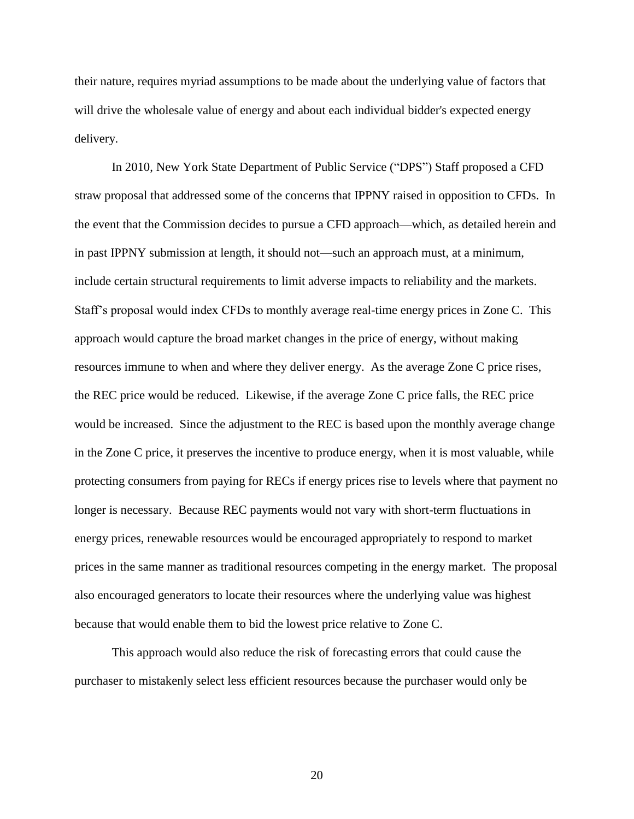their nature, requires myriad assumptions to be made about the underlying value of factors that will drive the wholesale value of energy and about each individual bidder's expected energy delivery.

In 2010, New York State Department of Public Service ("DPS") Staff proposed a CFD straw proposal that addressed some of the concerns that IPPNY raised in opposition to CFDs. In the event that the Commission decides to pursue a CFD approach—which, as detailed herein and in past IPPNY submission at length, it should not—such an approach must, at a minimum, include certain structural requirements to limit adverse impacts to reliability and the markets. Staff's proposal would index CFDs to monthly average real-time energy prices in Zone C. This approach would capture the broad market changes in the price of energy, without making resources immune to when and where they deliver energy. As the average Zone C price rises, the REC price would be reduced. Likewise, if the average Zone C price falls, the REC price would be increased. Since the adjustment to the REC is based upon the monthly average change in the Zone C price, it preserves the incentive to produce energy, when it is most valuable, while protecting consumers from paying for RECs if energy prices rise to levels where that payment no longer is necessary. Because REC payments would not vary with short-term fluctuations in energy prices, renewable resources would be encouraged appropriately to respond to market prices in the same manner as traditional resources competing in the energy market. The proposal also encouraged generators to locate their resources where the underlying value was highest because that would enable them to bid the lowest price relative to Zone C.

This approach would also reduce the risk of forecasting errors that could cause the purchaser to mistakenly select less efficient resources because the purchaser would only be

20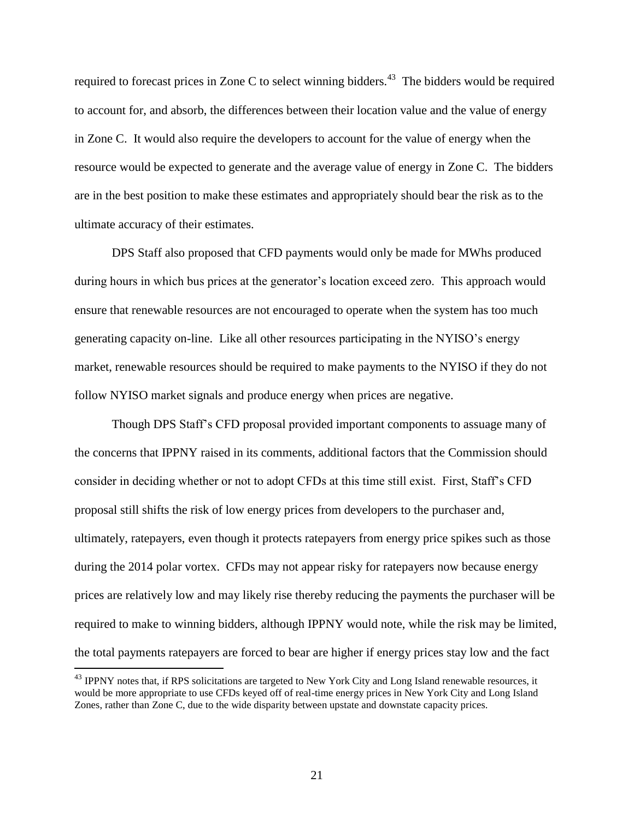required to forecast prices in Zone C to select winning bidders.<sup>43</sup> The bidders would be required to account for, and absorb, the differences between their location value and the value of energy in Zone C. It would also require the developers to account for the value of energy when the resource would be expected to generate and the average value of energy in Zone C. The bidders are in the best position to make these estimates and appropriately should bear the risk as to the ultimate accuracy of their estimates.

DPS Staff also proposed that CFD payments would only be made for MWhs produced during hours in which bus prices at the generator's location exceed zero. This approach would ensure that renewable resources are not encouraged to operate when the system has too much generating capacity on-line. Like all other resources participating in the NYISO's energy market, renewable resources should be required to make payments to the NYISO if they do not follow NYISO market signals and produce energy when prices are negative.

Though DPS Staff's CFD proposal provided important components to assuage many of the concerns that IPPNY raised in its comments, additional factors that the Commission should consider in deciding whether or not to adopt CFDs at this time still exist. First, Staff's CFD proposal still shifts the risk of low energy prices from developers to the purchaser and, ultimately, ratepayers, even though it protects ratepayers from energy price spikes such as those during the 2014 polar vortex. CFDs may not appear risky for ratepayers now because energy prices are relatively low and may likely rise thereby reducing the payments the purchaser will be required to make to winning bidders, although IPPNY would note, while the risk may be limited, the total payments ratepayers are forced to bear are higher if energy prices stay low and the fact

<sup>&</sup>lt;sup>43</sup> IPPNY notes that, if RPS solicitations are targeted to New York City and Long Island renewable resources, it would be more appropriate to use CFDs keyed off of real-time energy prices in New York City and Long Island Zones, rather than Zone C, due to the wide disparity between upstate and downstate capacity prices.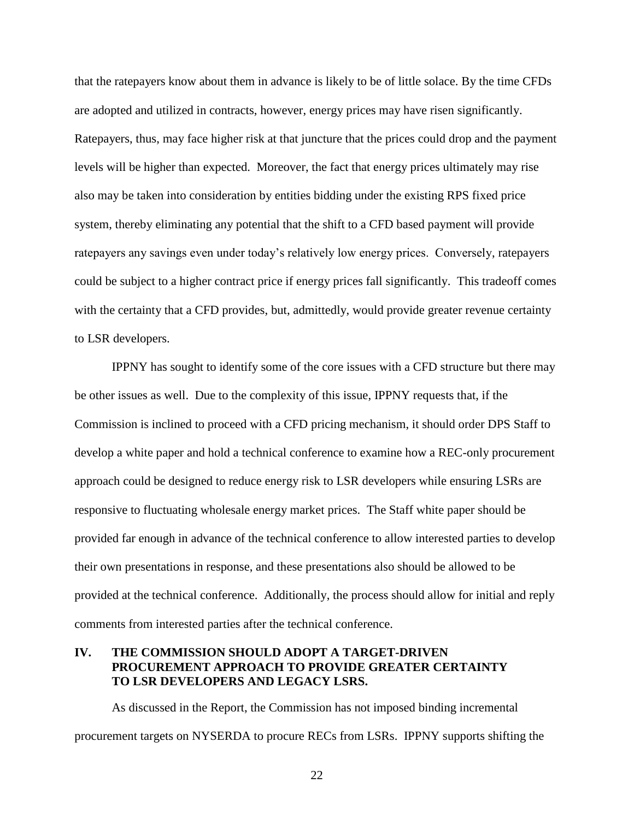that the ratepayers know about them in advance is likely to be of little solace. By the time CFDs are adopted and utilized in contracts, however, energy prices may have risen significantly. Ratepayers, thus, may face higher risk at that juncture that the prices could drop and the payment levels will be higher than expected. Moreover, the fact that energy prices ultimately may rise also may be taken into consideration by entities bidding under the existing RPS fixed price system, thereby eliminating any potential that the shift to a CFD based payment will provide ratepayers any savings even under today's relatively low energy prices. Conversely, ratepayers could be subject to a higher contract price if energy prices fall significantly. This tradeoff comes with the certainty that a CFD provides, but, admittedly, would provide greater revenue certainty to LSR developers.

IPPNY has sought to identify some of the core issues with a CFD structure but there may be other issues as well. Due to the complexity of this issue, IPPNY requests that, if the Commission is inclined to proceed with a CFD pricing mechanism, it should order DPS Staff to develop a white paper and hold a technical conference to examine how a REC-only procurement approach could be designed to reduce energy risk to LSR developers while ensuring LSRs are responsive to fluctuating wholesale energy market prices. The Staff white paper should be provided far enough in advance of the technical conference to allow interested parties to develop their own presentations in response, and these presentations also should be allowed to be provided at the technical conference. Additionally, the process should allow for initial and reply comments from interested parties after the technical conference.

## **IV. THE COMMISSION SHOULD ADOPT A TARGET-DRIVEN PROCUREMENT APPROACH TO PROVIDE GREATER CERTAINTY TO LSR DEVELOPERS AND LEGACY LSRS.**

As discussed in the Report, the Commission has not imposed binding incremental procurement targets on NYSERDA to procure RECs from LSRs. IPPNY supports shifting the

22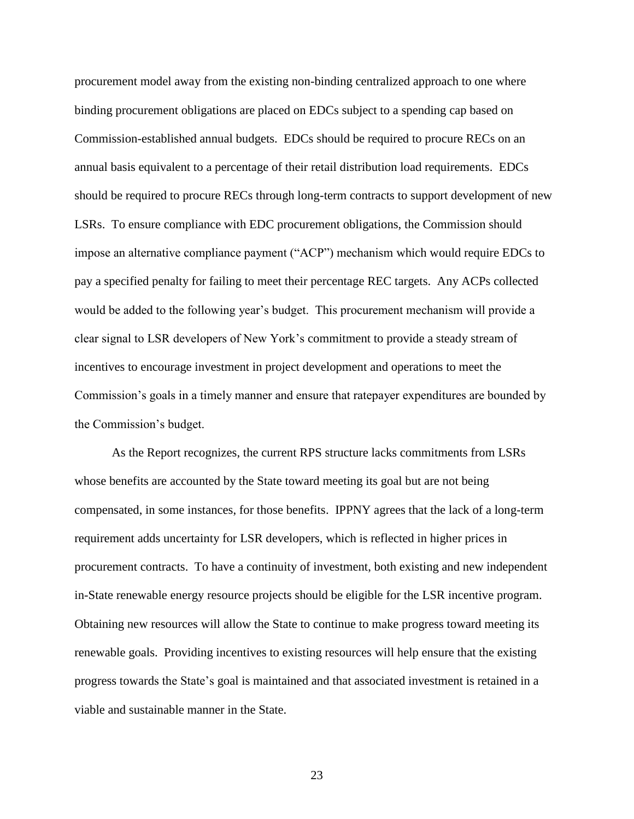procurement model away from the existing non-binding centralized approach to one where binding procurement obligations are placed on EDCs subject to a spending cap based on Commission-established annual budgets. EDCs should be required to procure RECs on an annual basis equivalent to a percentage of their retail distribution load requirements. EDCs should be required to procure RECs through long-term contracts to support development of new LSRs. To ensure compliance with EDC procurement obligations, the Commission should impose an alternative compliance payment ("ACP") mechanism which would require EDCs to pay a specified penalty for failing to meet their percentage REC targets. Any ACPs collected would be added to the following year's budget. This procurement mechanism will provide a clear signal to LSR developers of New York's commitment to provide a steady stream of incentives to encourage investment in project development and operations to meet the Commission's goals in a timely manner and ensure that ratepayer expenditures are bounded by the Commission's budget.

As the Report recognizes, the current RPS structure lacks commitments from LSRs whose benefits are accounted by the State toward meeting its goal but are not being compensated, in some instances, for those benefits. IPPNY agrees that the lack of a long-term requirement adds uncertainty for LSR developers, which is reflected in higher prices in procurement contracts. To have a continuity of investment, both existing and new independent in-State renewable energy resource projects should be eligible for the LSR incentive program. Obtaining new resources will allow the State to continue to make progress toward meeting its renewable goals. Providing incentives to existing resources will help ensure that the existing progress towards the State's goal is maintained and that associated investment is retained in a viable and sustainable manner in the State.

23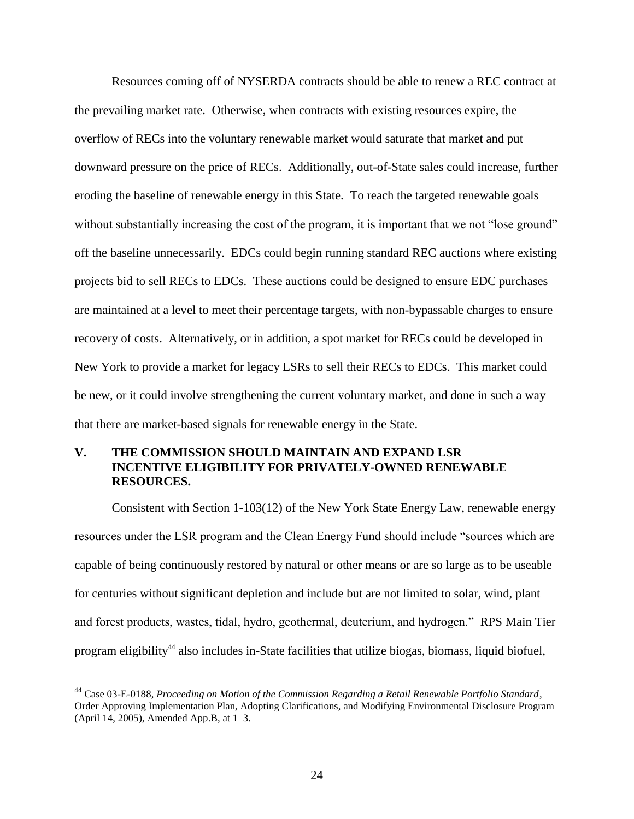Resources coming off of NYSERDA contracts should be able to renew a REC contract at the prevailing market rate. Otherwise, when contracts with existing resources expire, the overflow of RECs into the voluntary renewable market would saturate that market and put downward pressure on the price of RECs. Additionally, out-of-State sales could increase, further eroding the baseline of renewable energy in this State. To reach the targeted renewable goals without substantially increasing the cost of the program, it is important that we not "lose ground" off the baseline unnecessarily. EDCs could begin running standard REC auctions where existing projects bid to sell RECs to EDCs. These auctions could be designed to ensure EDC purchases are maintained at a level to meet their percentage targets, with non-bypassable charges to ensure recovery of costs. Alternatively, or in addition, a spot market for RECs could be developed in New York to provide a market for legacy LSRs to sell their RECs to EDCs. This market could be new, or it could involve strengthening the current voluntary market, and done in such a way that there are market-based signals for renewable energy in the State.

## **V. THE COMMISSION SHOULD MAINTAIN AND EXPAND LSR INCENTIVE ELIGIBILITY FOR PRIVATELY-OWNED RENEWABLE RESOURCES.**

Consistent with Section 1-103(12) of the New York State Energy Law, renewable energy resources under the LSR program and the Clean Energy Fund should include "sources which are capable of being continuously restored by natural or other means or are so large as to be useable for centuries without significant depletion and include but are not limited to solar, wind, plant and forest products, wastes, tidal, hydro, geothermal, deuterium, and hydrogen." RPS Main Tier program eligibility<sup>44</sup> also includes in-State facilities that utilize biogas, biomass, liquid biofuel,

<sup>44</sup> Case 03-E-0188, *Proceeding on Motion of the Commission Regarding a Retail Renewable Portfolio Standard*, Order Approving Implementation Plan, Adopting Clarifications, and Modifying Environmental Disclosure Program (April 14, 2005), Amended App.B, at 1–3.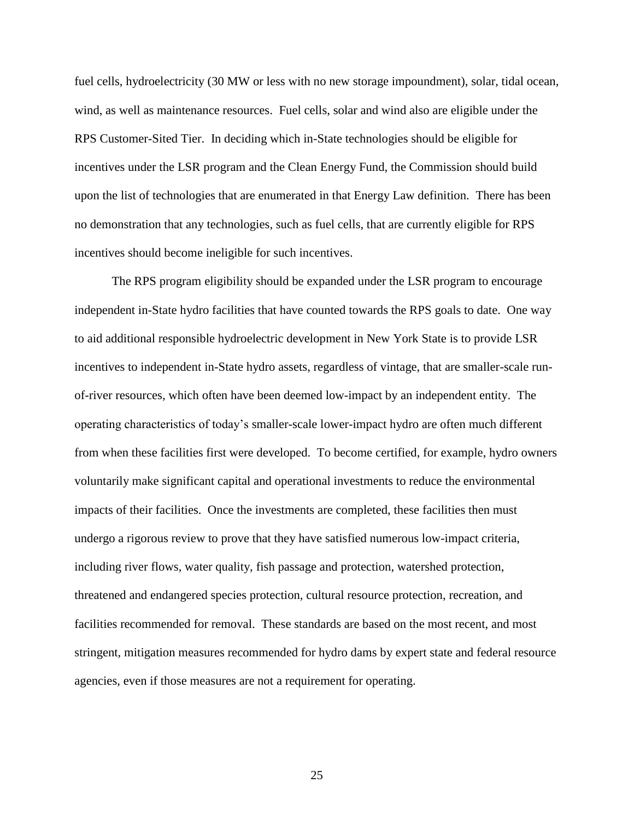fuel cells, hydroelectricity (30 MW or less with no new storage impoundment), solar, tidal ocean, wind, as well as maintenance resources. Fuel cells, solar and wind also are eligible under the RPS Customer-Sited Tier. In deciding which in-State technologies should be eligible for incentives under the LSR program and the Clean Energy Fund, the Commission should build upon the list of technologies that are enumerated in that Energy Law definition. There has been no demonstration that any technologies, such as fuel cells, that are currently eligible for RPS incentives should become ineligible for such incentives.

The RPS program eligibility should be expanded under the LSR program to encourage independent in-State hydro facilities that have counted towards the RPS goals to date. One way to aid additional responsible hydroelectric development in New York State is to provide LSR incentives to independent in-State hydro assets, regardless of vintage, that are smaller-scale runof-river resources, which often have been deemed low-impact by an independent entity. The operating characteristics of today's smaller-scale lower-impact hydro are often much different from when these facilities first were developed. To become certified, for example, hydro owners voluntarily make significant capital and operational investments to reduce the environmental impacts of their facilities. Once the investments are completed, these facilities then must undergo a rigorous review to prove that they have satisfied numerous low-impact criteria, including river flows, water quality, fish passage and protection, watershed protection, threatened and endangered species protection, cultural resource protection, recreation, and facilities recommended for removal. These standards are based on the most recent, and most stringent, mitigation measures recommended for hydro dams by expert state and federal resource agencies, even if those measures are not a requirement for operating.

25